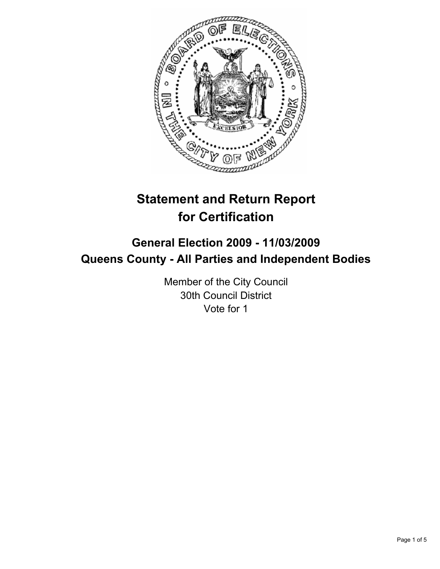

# **Statement and Return Report for Certification**

## **General Election 2009 - 11/03/2009 Queens County - All Parties and Independent Bodies**

Member of the City Council 30th Council District Vote for 1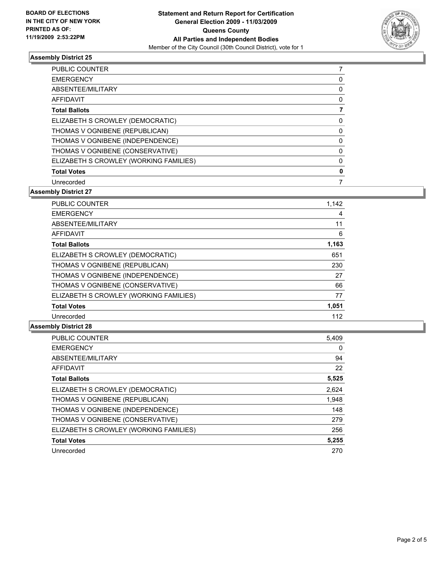

### **Assembly District 25**

| PUBLIC COUNTER                         |   |
|----------------------------------------|---|
| <b>EMERGENCY</b>                       | 0 |
| ABSENTEE/MILITARY                      | 0 |
| AFFIDAVIT                              | 0 |
| <b>Total Ballots</b>                   | 7 |
| ELIZABETH S CROWLEY (DEMOCRATIC)       | 0 |
| THOMAS V OGNIBENE (REPUBLICAN)         | 0 |
| THOMAS V OGNIBENE (INDEPENDENCE)       | 0 |
| THOMAS V OGNIBENE (CONSERVATIVE)       | 0 |
| ELIZABETH S CROWLEY (WORKING FAMILIES) | 0 |
| <b>Total Votes</b>                     | 0 |
| Unrecorded                             |   |

#### **Assembly District 27**

| <b>PUBLIC COUNTER</b>                  | 1,142 |
|----------------------------------------|-------|
| <b>EMERGENCY</b>                       | 4     |
| ABSENTEE/MILITARY                      | 11    |
| <b>AFFIDAVIT</b>                       | 6     |
| <b>Total Ballots</b>                   | 1,163 |
| ELIZABETH S CROWLEY (DEMOCRATIC)       | 651   |
| THOMAS V OGNIBENE (REPUBLICAN)         | 230   |
| THOMAS V OGNIBENE (INDEPENDENCE)       | 27    |
| THOMAS V OGNIBENE (CONSERVATIVE)       | 66    |
| ELIZABETH S CROWLEY (WORKING FAMILIES) | 77    |
| <b>Total Votes</b>                     | 1,051 |
| Unrecorded                             | 112   |

#### **Assembly District 28**

| PUBLIC COUNTER                         | 5,409 |
|----------------------------------------|-------|
| <b>EMERGENCY</b>                       | 0     |
| ABSENTEE/MILITARY                      | 94    |
| <b>AFFIDAVIT</b>                       | 22    |
| <b>Total Ballots</b>                   | 5,525 |
| ELIZABETH S CROWLEY (DEMOCRATIC)       | 2,624 |
| THOMAS V OGNIBENE (REPUBLICAN)         | 1,948 |
| THOMAS V OGNIBENE (INDEPENDENCE)       | 148   |
| THOMAS V OGNIBENE (CONSERVATIVE)       | 279   |
| ELIZABETH S CROWLEY (WORKING FAMILIES) | 256   |
| <b>Total Votes</b>                     | 5,255 |
| Unrecorded                             | 270   |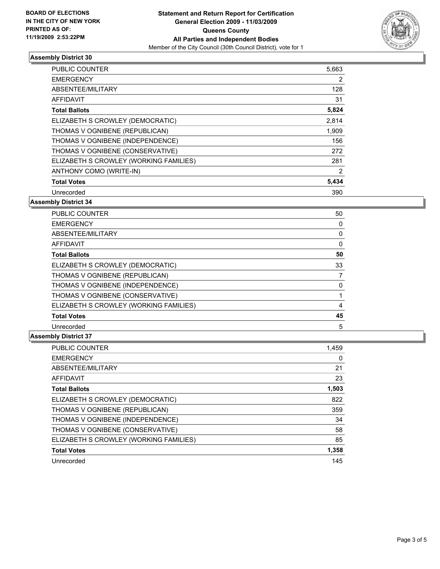

#### **Assembly District 30**

| <b>PUBLIC COUNTER</b>                  | 5,663 |
|----------------------------------------|-------|
| <b>EMERGENCY</b>                       | 2     |
| ABSENTEE/MILITARY                      | 128   |
| <b>AFFIDAVIT</b>                       | 31    |
| <b>Total Ballots</b>                   | 5,824 |
| ELIZABETH S CROWLEY (DEMOCRATIC)       | 2,814 |
| THOMAS V OGNIBENE (REPUBLICAN)         | 1,909 |
| THOMAS V OGNIBENE (INDEPENDENCE)       | 156   |
| THOMAS V OGNIBENE (CONSERVATIVE)       | 272   |
| ELIZABETH S CROWLEY (WORKING FAMILIES) | 281   |
| ANTHONY COMO (WRITE-IN)                | 2     |
| <b>Total Votes</b>                     | 5,434 |
| Unrecorded                             | 390   |

### **Assembly District 34**

| <b>PUBLIC COUNTER</b>                  | 50 |
|----------------------------------------|----|
| <b>EMERGENCY</b>                       | 0  |
| ABSENTEE/MILITARY                      | 0  |
| AFFIDAVIT                              | 0  |
| <b>Total Ballots</b>                   | 50 |
| ELIZABETH S CROWLEY (DEMOCRATIC)       | 33 |
| THOMAS V OGNIBENE (REPUBLICAN)         |    |
| THOMAS V OGNIBENE (INDEPENDENCE)       | 0  |
| THOMAS V OGNIBENE (CONSERVATIVE)       |    |
| ELIZABETH S CROWLEY (WORKING FAMILIES) | 4  |
| <b>Total Votes</b>                     | 45 |
| Unrecorded                             | 5  |

### **Assembly District 37**

| <b>PUBLIC COUNTER</b>                  | 1,459 |
|----------------------------------------|-------|
| <b>EMERGENCY</b>                       | 0     |
| ABSENTEE/MILITARY                      | 21    |
| <b>AFFIDAVIT</b>                       | 23    |
| <b>Total Ballots</b>                   | 1,503 |
| ELIZABETH S CROWLEY (DEMOCRATIC)       | 822   |
| THOMAS V OGNIBENE (REPUBLICAN)         | 359   |
| THOMAS V OGNIBENE (INDEPENDENCE)       | 34    |
| THOMAS V OGNIBENE (CONSERVATIVE)       | 58    |
| ELIZABETH S CROWLEY (WORKING FAMILIES) | 85    |
| <b>Total Votes</b>                     | 1,358 |
| Unrecorded                             | 145   |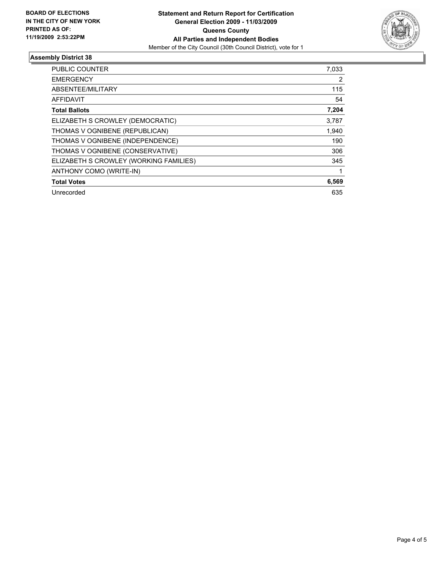

### **Assembly District 38**

| <b>PUBLIC COUNTER</b>                  | 7,033 |
|----------------------------------------|-------|
| <b>EMERGENCY</b>                       | 2     |
| ABSENTEE/MILITARY                      | 115   |
| <b>AFFIDAVIT</b>                       | 54    |
| <b>Total Ballots</b>                   | 7,204 |
| ELIZABETH S CROWLEY (DEMOCRATIC)       | 3,787 |
| THOMAS V OGNIBENE (REPUBLICAN)         | 1,940 |
| THOMAS V OGNIBENE (INDEPENDENCE)       | 190   |
| THOMAS V OGNIBENE (CONSERVATIVE)       | 306   |
| ELIZABETH S CROWLEY (WORKING FAMILIES) | 345   |
| ANTHONY COMO (WRITE-IN)                |       |
| <b>Total Votes</b>                     | 6,569 |
| Unrecorded                             | 635   |